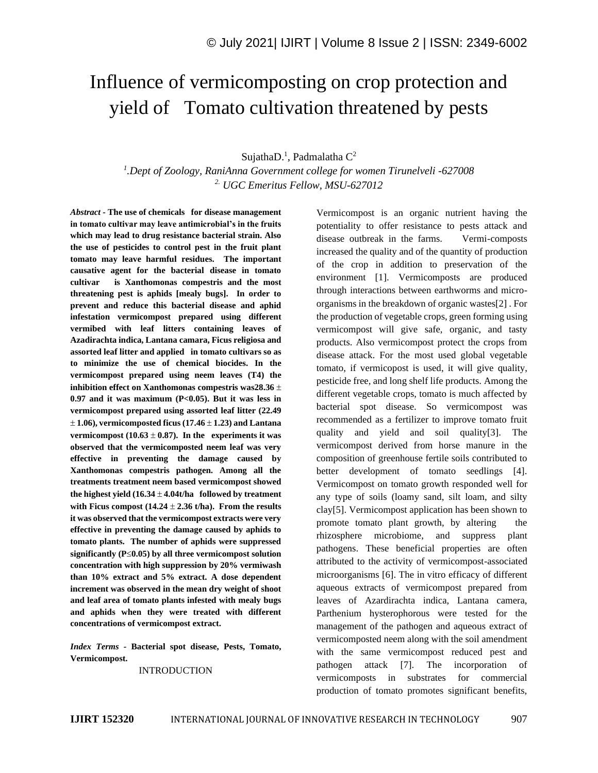# Influence of vermicomposting on crop protection and yield of Tomato cultivation threatened by pests

SujathaD.<sup>1</sup>, Padmalatha C<sup>2</sup>

*1 .Dept of Zoology, RaniAnna Government college for women Tirunelveli -627008 2. UGC Emeritus Fellow, MSU-627012*

*Abstract -* **The use of chemicals for disease management in tomato cultivar may leave antimicrobial's in the fruits which may lead to drug resistance bacterial strain. Also the use of pesticides to control pest in the fruit plant tomato may leave harmful residues. The important causative agent for the bacterial disease in tomato cultivar is Xanthomonas compestris and the most threatening pest is aphids [mealy bugs]. In order to prevent and reduce this bacterial disease and aphid infestation vermicompost prepared using different vermibed with leaf litters containing leaves of Azadirachta indica, Lantana camara, Ficus religiosa and assorted leaf litter and applied in tomato cultivars so as to minimize the use of chemical biocides. In the vermicompost prepared using neem leaves (T4) the inhibition effect on Xanthomonas compestris was28.36 0.97 and it was maximum (P<0.05). But it was less in vermicompost prepared using assorted leaf litter (22.49**   $\pm$  1.06), vermicomposted ficus (17.46  $\pm$  1.23) and Lantana **vermicompost (10.63**  $\pm$  **0.87). In the experiments it was observed that the vermicomposted neem leaf was very effective in preventing the damage caused by Xanthomonas compestris pathogen. Among all the treatments treatment neem based vermicompost showed**  the highest yield  $(16.34 \pm 4.04t/\text{ha}$  followed by treatment with Ficus compost  $(14.24 \pm 2.36 \text{ t/ha})$ . From the results **it was observed that the vermicompost extracts were very effective in preventing the damage caused by aphids to tomato plants. The number of aphids were suppressed significantly (** $P \le 0.05$ **) by all three vermicompost solution concentration with high suppression by 20% vermiwash than 10% extract and 5% extract. A dose dependent increment was observed in the mean dry weight of shoot and leaf area of tomato plants infested with mealy bugs and aphids when they were treated with different concentrations of vermicompost extract.**

*Index Terms -* **Bacterial spot disease, Pests, Tomato, Vermicompost.**

INTRODUCTION

Vermicompost is an organic nutrient having the potentiality to offer resistance to pests attack and disease outbreak in the farms. Vermi-composts increased the quality and of the quantity of production of the crop in addition to preservation of the environment [1]. Vermicomposts are produced through interactions between earthworms and microorganisms in the breakdown of organic wastes[2] . For the production of vegetable crops, green forming using vermicompost will give safe, organic, and tasty products. Also vermicompost protect the crops from disease attack. For the most used global vegetable tomato, if vermicopost is used, it will give quality, pesticide free, and long shelf life products. Among the different vegetable crops, tomato is much affected by bacterial spot disease. So vermicompost was recommended as a fertilizer to improve tomato fruit quality and yield and soil quality[3]. The vermicompost derived from horse manure in the composition of greenhouse fertile soils contributed to better development of tomato seedlings [4]. Vermicompost on tomato growth responded well for any type of soils (loamy sand, silt loam, and silty clay[5]. Vermicompost application has been shown to promote tomato plant growth, by altering the rhizosphere microbiome, and suppress plant pathogens. These beneficial properties are often attributed to the activity of vermicompost-associated microorganisms [6]. The in vitro efficacy of different aqueous extracts of vermicompost prepared from leaves of Azardirachta indica, Lantana camera, Parthenium hysterophorous were tested for the management of the pathogen and aqueous extract of vermicomposted neem along with the soil amendment with the same vermicompost reduced pest and pathogen attack [7]. The incorporation of vermicomposts in substrates for commercial production of tomato promotes significant benefits,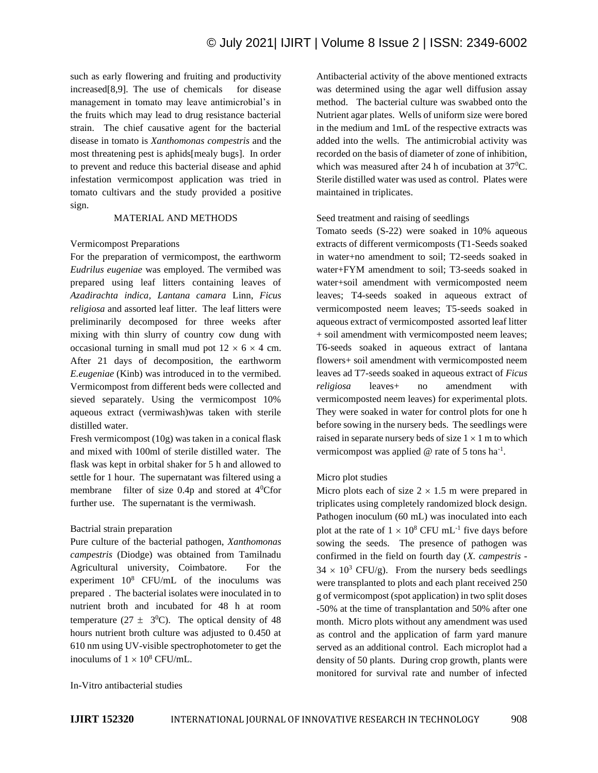such as early flowering and fruiting and productivity increased[8,9]. The use of chemicals for disease management in tomato may leave antimicrobial's in the fruits which may lead to drug resistance bacterial strain. The chief causative agent for the bacterial disease in tomato is *Xanthomonas compestris* and the most threatening pest is aphids[mealy bugs]. In order to prevent and reduce this bacterial disease and aphid infestation vermicompost application was tried in tomato cultivars and the study provided a positive sign.

# MATERIAL AND METHODS

#### Vermicompost Preparations

For the preparation of vermicompost, the earthworm *Eudrilus eugeniae* was employed. The vermibed was prepared using leaf litters containing leaves of *Azadirachta indica, Lantana camara* Linn, *Ficus religiosa* and assorted leaf litter. The leaf litters were preliminarily decomposed for three weeks after mixing with thin slurry of country cow dung with occasional turning in small mud pot  $12 \times 6 \times 4$  cm. After 21 days of decomposition, the earthworm *E.eugeniae* (Kinb) was introduced in to the vermibed. Vermicompost from different beds were collected and sieved separately. Using the vermicompost 10% aqueous extract (vermiwash)was taken with sterile distilled water.

Fresh vermicompost (10g) was taken in a conical flask and mixed with 100ml of sterile distilled water. The flask was kept in orbital shaker for 5 h and allowed to settle for 1 hour. The supernatant was filtered using a membrane filter of size 0.4p and stored at 4<sup>0</sup>Cfor further use. The supernatant is the vermiwash.

#### Bactrial strain preparation

Pure culture of the bacterial pathogen, *Xanthomonas campestris* (Diodge) was obtained from Tamilnadu Agricultural university, Coimbatore. For the experiment  $10^8$  CFU/mL of the inoculums was prepared . The bacterial isolates were inoculated in to nutrient broth and incubated for 48 h at room temperature ( $27 \pm 3^0$ C). The optical density of 48 hours nutrient broth culture was adjusted to 0.450 at 610 nm using UV-visible spectrophotometer to get the inoculums of  $1 \times 10^8$  CFU/mL.

Antibacterial activity of the above mentioned extracts was determined using the agar well diffusion assay method. The bacterial culture was swabbed onto the Nutrient agar plates. Wells of uniform size were bored in the medium and 1mL of the respective extracts was added into the wells. The antimicrobial activity was recorded on the basis of diameter of zone of inhibition, which was measured after 24 h of incubation at  $37^{\circ}$ C. Sterile distilled water was used as control. Plates were maintained in triplicates.

Seed treatment and raising of seedlings

Tomato seeds (S-22) were soaked in 10% aqueous extracts of different vermicomposts (T1-Seeds soaked in water+no amendment to soil; T2-seeds soaked in water+FYM amendment to soil; T3-seeds soaked in water+soil amendment with vermicomposted neem leaves; T4-seeds soaked in aqueous extract of vermicomposted neem leaves; T5-seeds soaked in aqueous extract of vermicomposted assorted leaf litter + soil amendment with vermicomposted neem leaves; T6-seeds soaked in aqueous extract of lantana flowers+ soil amendment with vermicomposted neem leaves ad T7-seeds soaked in aqueous extract of *Ficus religiosa* leaves+ no amendment with vermicomposted neem leaves) for experimental plots. They were soaked in water for control plots for one h before sowing in the nursery beds. The seedlings were raised in separate nursery beds of size  $1 \times 1$  m to which vermicompost was applied  $@$  rate of 5 tons ha<sup>-1</sup>.

#### Micro plot studies

Micro plots each of size  $2 \times 1.5$  m were prepared in triplicates using completely randomized block design. Pathogen inoculum (60 mL) was inoculated into each plot at the rate of  $1 \times 10^8$  CFU mL<sup>-1</sup> five days before sowing the seeds. The presence of pathogen was confirmed in the field on fourth day (*X. campestris* -  $34 \times 10^3$  CFU/g). From the nursery beds seedlings were transplanted to plots and each plant received 250 g of vermicompost (spot application) in two split doses -50% at the time of transplantation and 50% after one month. Micro plots without any amendment was used as control and the application of farm yard manure served as an additional control. Each microplot had a density of 50 plants. During crop growth, plants were monitored for survival rate and number of infected

#### In-Vitro antibacterial studies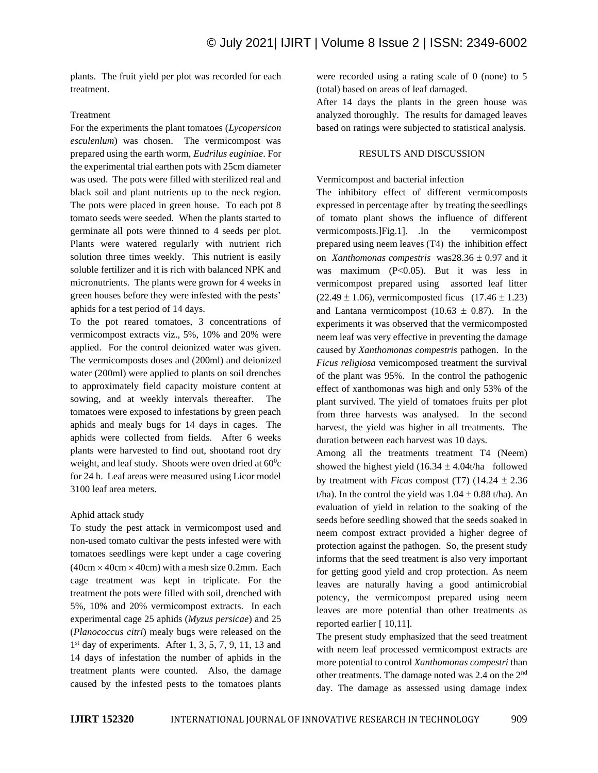plants. The fruit yield per plot was recorded for each treatment.

# Treatment

For the experiments the plant tomatoes (*Lycopersicon esculenlum*) was chosen. The vermicompost was prepared using the earth worm, *Eudrilus euginiae*. For the experimental trial earthen pots with 25cm diameter was used. The pots were filled with sterilized real and black soil and plant nutrients up to the neck region. The pots were placed in green house. To each pot 8 tomato seeds were seeded. When the plants started to germinate all pots were thinned to 4 seeds per plot. Plants were watered regularly with nutrient rich solution three times weekly. This nutrient is easily soluble fertilizer and it is rich with balanced NPK and micronutrients. The plants were grown for 4 weeks in green houses before they were infested with the pests' aphids for a test period of 14 days.

To the pot reared tomatoes, 3 concentrations of vermicompost extracts viz., 5%, 10% and 20% were applied. For the control deionized water was given. The vermicomposts doses and (200ml) and deionized water (200ml) were applied to plants on soil drenches to approximately field capacity moisture content at sowing, and at weekly intervals thereafter. The tomatoes were exposed to infestations by green peach aphids and mealy bugs for 14 days in cages. The aphids were collected from fields. After 6 weeks plants were harvested to find out, shootand root dry weight, and leaf study. Shoots were oven dried at 60°c for 24 h. Leaf areas were measured using Licor model 3100 leaf area meters.

# Aphid attack study

To study the pest attack in vermicompost used and non-used tomato cultivar the pests infested were with tomatoes seedlings were kept under a cage covering  $(40cm \times 40cm \times 40cm)$  with a mesh size 0.2mm. Each cage treatment was kept in triplicate. For the treatment the pots were filled with soil, drenched with 5%, 10% and 20% vermicompost extracts. In each experimental cage 25 aphids (*Myzus persicae*) and 25 (*Planococcus citri*) mealy bugs were released on the 1 st day of experiments. After 1, 3, 5, 7, 9, 11, 13 and 14 days of infestation the number of aphids in the treatment plants were counted. Also, the damage caused by the infested pests to the tomatoes plants

were recorded using a rating scale of 0 (none) to 5 (total) based on areas of leaf damaged.

After 14 days the plants in the green house was analyzed thoroughly. The results for damaged leaves based on ratings were subjected to statistical analysis.

# RESULTS AND DISCUSSION

Vermicompost and bacterial infection

The inhibitory effect of different vermicomposts expressed in percentage after by treating the seedlings of tomato plant shows the influence of different vermicomposts.]Fig.1]. .In the vermicompost prepared using neem leaves (T4) the inhibition effect on *Xanthomonas compestris* was  $28.36 \pm 0.97$  and it was maximum (P<0.05). But it was less in vermicompost prepared using assorted leaf litter  $(22.49 \pm 1.06)$ , vermicomposted ficus  $(17.46 \pm 1.23)$ and Lantana vermicompost (10.63  $\pm$  0.87). In the experiments it was observed that the vermicomposted neem leaf was very effective in preventing the damage caused by *Xanthomonas compestris* pathogen. In the *Ficus religiosa* vemicomposed treatment the survival of the plant was 95%. In the control the pathogenic effect of xanthomonas was high and only 53% of the plant survived. The yield of tomatoes fruits per plot from three harvests was analysed. In the second harvest, the yield was higher in all treatments. The duration between each harvest was 10 days.

Among all the treatments treatment T4 (Neem) showed the highest yield  $(16.34 \pm 4.04t/\text{ha}$  followed by treatment with *Ficus* compost (T7)  $(14.24 \pm 2.36$ t/ha). In the control the yield was  $1.04 \pm 0.88$  t/ha). An evaluation of yield in relation to the soaking of the seeds before seedling showed that the seeds soaked in neem compost extract provided a higher degree of protection against the pathogen. So, the present study informs that the seed treatment is also very important for getting good yield and crop protection. As neem leaves are naturally having a good antimicrobial potency, the vermicompost prepared using neem leaves are more potential than other treatments as reported earlier [ 10,11].

The present study emphasized that the seed treatment with neem leaf processed vermicompost extracts are more potential to control *Xanthomonas compestri* than other treatments. The damage noted was 2.4 on the 2nd day. The damage as assessed using damage index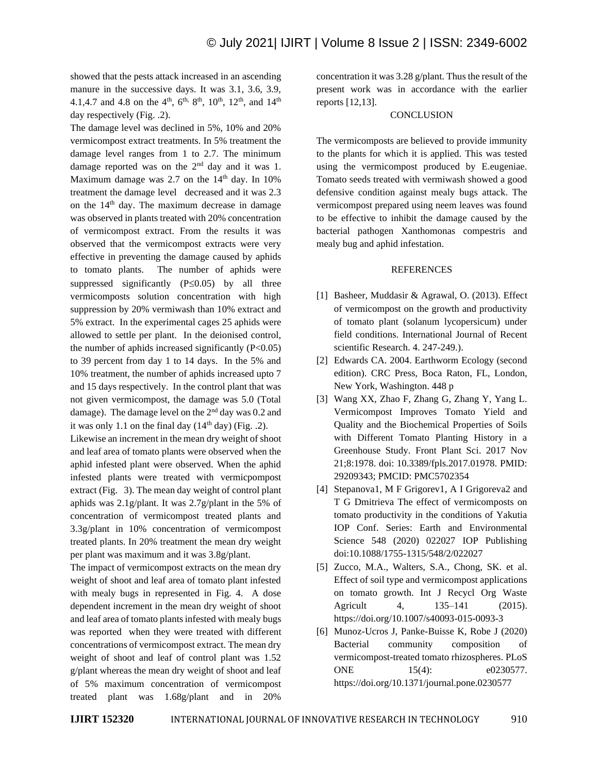showed that the pests attack increased in an ascending manure in the successive days. It was 3.1, 3.6, 3.9, 4.1,4.7 and 4.8 on the 4<sup>th</sup>, 6<sup>th, 8th</sup>, 10<sup>th</sup>, 12<sup>th</sup>, and 14<sup>th</sup> day respectively (Fig. .2).

The damage level was declined in 5%, 10% and 20% vermicompost extract treatments. In 5% treatment the damage level ranges from 1 to 2.7. The minimum damage reported was on the 2<sup>nd</sup> day and it was 1. Maximum damage was 2.7 on the  $14<sup>th</sup>$  day. In 10% treatment the damage level decreased and it was 2.3 on the 14<sup>th</sup> day. The maximum decrease in damage was observed in plants treated with 20% concentration of vermicompost extract. From the results it was observed that the vermicompost extracts were very effective in preventing the damage caused by aphids to tomato plants. The number of aphids were suppressed significantly  $(P \le 0.05)$  by all three vermicomposts solution concentration with high suppression by 20% vermiwash than 10% extract and 5% extract. In the experimental cages 25 aphids were allowed to settle per plant. In the deionised control, the number of aphids increased significantly  $(P<0.05)$ to 39 percent from day 1 to 14 days. In the 5% and 10% treatment, the number of aphids increased upto 7 and 15 days respectively. In the control plant that was not given vermicompost, the damage was 5.0 (Total damage). The damage level on the 2nd day was 0.2 and it was only 1.1 on the final day  $(14<sup>th</sup>$  day) (Fig. .2).

Likewise an increment in the mean dry weight of shoot and leaf area of tomato plants were observed when the aphid infested plant were observed. When the aphid infested plants were treated with vermicpompost extract (Fig. 3). The mean day weight of control plant aphids was 2.1g/plant. It was 2.7g/plant in the 5% of concentration of vermicompost treated plants and 3.3g/plant in 10% concentration of vermicompost treated plants. In 20% treatment the mean dry weight per plant was maximum and it was 3.8g/plant.

The impact of vermicompost extracts on the mean dry weight of shoot and leaf area of tomato plant infested with mealy bugs in represented in Fig. 4. A dose dependent increment in the mean dry weight of shoot and leaf area of tomato plants infested with mealy bugs was reported when they were treated with different concentrations of vermicompost extract. The mean dry weight of shoot and leaf of control plant was 1.52 g/plant whereas the mean dry weight of shoot and leaf of 5% maximum concentration of vermicompost treated plant was 1.68g/plant and in 20%

concentration it was 3.28 g/plant. Thus the result of the present work was in accordance with the earlier reports [12,13].

### **CONCLUSION**

The vermicomposts are believed to provide immunity to the plants for which it is applied. This was tested using the vermicompost produced by E.eugeniae. Tomato seeds treated with vermiwash showed a good defensive condition against mealy bugs attack. The vermicompost prepared using neem leaves was found to be effective to inhibit the damage caused by the bacterial pathogen Xanthomonas compestris and mealy bug and aphid infestation.

#### REFERENCES

- [1] Basheer, Muddasir & Agrawal, O. (2013). Effect of vermicompost on the growth and productivity of tomato plant (solanum lycopersicum) under field conditions. International Journal of Recent scientific Research. 4. 247-249.).
- [2] Edwards CA. 2004. Earthworm Ecology (second edition). CRC Press, Boca Raton, FL, London, New York, Washington. 448 p
- [3] Wang XX, Zhao F, Zhang G, Zhang Y, Yang L. Vermicompost Improves Tomato Yield and Quality and the Biochemical Properties of Soils with Different Tomato Planting History in a Greenhouse Study. Front Plant Sci. 2017 Nov 21;8:1978. doi: 10.3389/fpls.2017.01978. PMID: 29209343; PMCID: PMC5702354
- [4] Stepanova1, M F Grigorev1, A I Grigoreva2 and T G Dmitrieva The effect of vermicomposts on tomato productivity in the conditions of Yakutia IOP Conf. Series: Earth and Environmental Science 548 (2020) 022027 IOP Publishing doi:10.1088/1755-1315/548/2/022027
- [5] Zucco, M.A., Walters, S.A., Chong, SK. et al. Effect of soil type and vermicompost applications on tomato growth. Int J Recycl Org Waste Agricult 4, 135–141 (2015). https://doi.org/10.1007/s40093-015-0093-3
- [6] Munoz-Ucros J, Panke-Buisse K, Robe J (2020) Bacterial community composition of vermicompost-treated tomato rhizospheres. PLoS ONE 15(4): e0230577. https://doi.org/10.1371/journal.pone.0230577